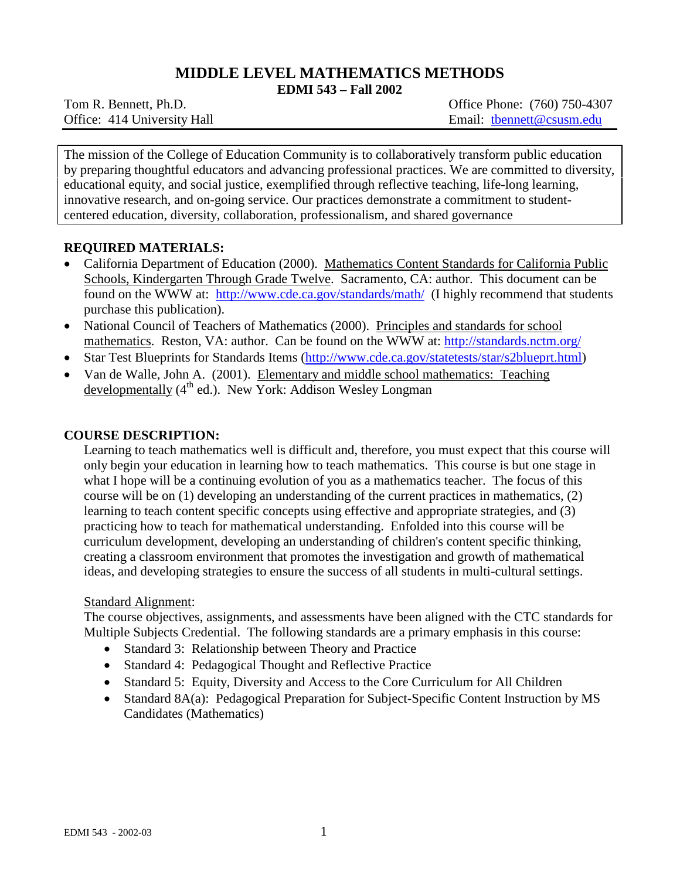# **MIDDLE LEVEL MATHEMATICS METHODS**

**EDMI 543 – Fall 2002**

Office: 414 University Hall Email: thennett@csusm.edu

Tom R. Bennett, Ph.D. Common Common Common Common Common Common Common Common Common Common Common Common Common Common Common Common Common Common Common Common Common Common Common Common Common Common Common Common Comm

The mission of the College of Education Community is to collaboratively transform public education by preparing thoughtful educators and advancing professional practices. We are committed to diversity, educational equity, and social justice, exemplified through reflective teaching, life-long learning, innovative research, and on-going service. Our practices demonstrate a commitment to studentcentered education, diversity, collaboration, professionalism, and shared governance

## **REQUIRED MATERIALS:**

- California Department of Education (2000). Mathematics Content Standards for California Public Schools, Kindergarten Through Grade Twelve. Sacramento, CA: author. This document can be found on the WWW at: <http://www.cde.ca.gov/standards/math/>(I highly recommend that students purchase this publication).
- National Council of Teachers of Mathematics (2000). Principles and standards for school mathematics. Reston, VA: author. Can be found on the WWW at:<http://standards.nctm.org/>
- Star Test Blueprints for Standards Items [\(http://www.cde.ca.gov/statetests/star/s2blueprt.html\)](http://www.cde.ca.gov/statetests/star/s2blueprt.html)
- Van de Walle, John A. (2001). Elementary and middle school mathematics: Teaching developmentally  $(4<sup>th</sup>$  ed.). New York: Addison Wesley Longman

### **COURSE DESCRIPTION:**

Learning to teach mathematics well is difficult and, therefore, you must expect that this course will only begin your education in learning how to teach mathematics. This course is but one stage in what I hope will be a continuing evolution of you as a mathematics teacher. The focus of this course will be on (1) developing an understanding of the current practices in mathematics, (2) learning to teach content specific concepts using effective and appropriate strategies, and (3) practicing how to teach for mathematical understanding. Enfolded into this course will be curriculum development, developing an understanding of children's content specific thinking, creating a classroom environment that promotes the investigation and growth of mathematical ideas, and developing strategies to ensure the success of all students in multi-cultural settings.

## Standard Alignment:

The course objectives, assignments, and assessments have been aligned with the CTC standards for Multiple Subjects Credential. The following standards are a primary emphasis in this course:

- Standard 3: Relationship between Theory and Practice
- Standard 4: Pedagogical Thought and Reflective Practice
- Standard 5: Equity, Diversity and Access to the Core Curriculum for All Children
- Standard 8A(a): Pedagogical Preparation for Subject-Specific Content Instruction by MS Candidates (Mathematics)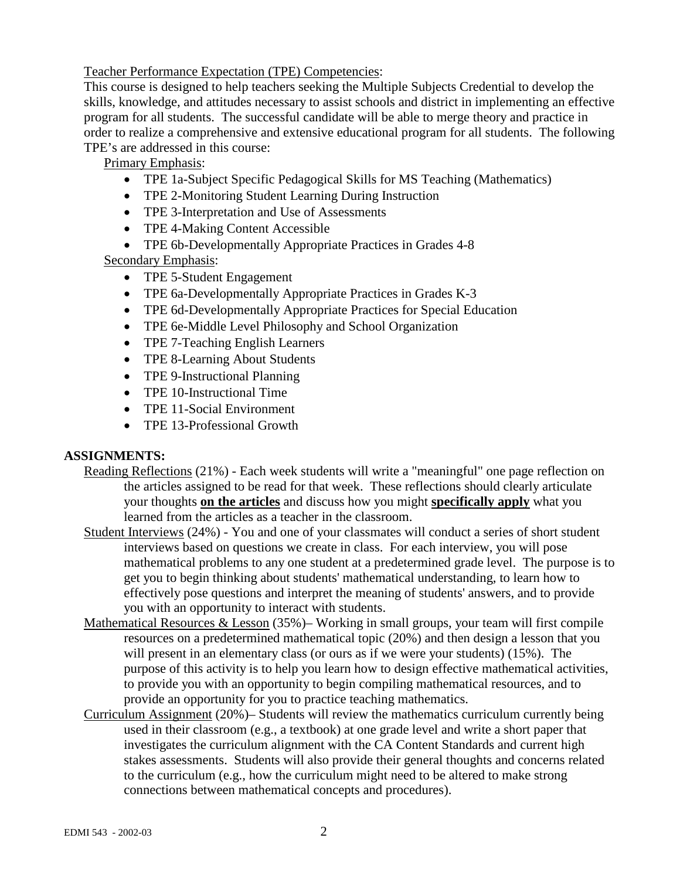Teacher Performance Expectation (TPE) Competencies:

This course is designed to help teachers seeking the Multiple Subjects Credential to develop the skills, knowledge, and attitudes necessary to assist schools and district in implementing an effective program for all students. The successful candidate will be able to merge theory and practice in order to realize a comprehensive and extensive educational program for all students. The following TPE's are addressed in this course:

Primary Emphasis:

- TPE 1a-Subject Specific Pedagogical Skills for MS Teaching (Mathematics)
- TPE 2-Monitoring Student Learning During Instruction
- TPE 3-Interpretation and Use of Assessments
- TPE 4-Making Content Accessible
- TPE 6b-Developmentally Appropriate Practices in Grades 4-8

Secondary Emphasis:

- TPE 5-Student Engagement
- TPE 6a-Developmentally Appropriate Practices in Grades K-3
- TPE 6d-Developmentally Appropriate Practices for Special Education
- TPE 6e-Middle Level Philosophy and School Organization
- TPE 7-Teaching English Learners
- TPE 8-Learning About Students
- TPE 9-Instructional Planning
- TPE 10-Instructional Time
- TPE 11-Social Environment
- TPE 13-Professional Growth

# **ASSIGNMENTS:**

- Reading Reflections (21%) Each week students will write a "meaningful" one page reflection on the articles assigned to be read for that week. These reflections should clearly articulate your thoughts **on the articles** and discuss how you might **specifically apply** what you learned from the articles as a teacher in the classroom.
- Student Interviews (24%) You and one of your classmates will conduct a series of short student interviews based on questions we create in class. For each interview, you will pose mathematical problems to any one student at a predetermined grade level. The purpose is to get you to begin thinking about students' mathematical understanding, to learn how to effectively pose questions and interpret the meaning of students' answers, and to provide you with an opportunity to interact with students.
- Mathematical Resources & Lesson (35%)– Working in small groups, your team will first compile resources on a predetermined mathematical topic (20%) and then design a lesson that you will present in an elementary class (or ours as if we were your students) (15%). The purpose of this activity is to help you learn how to design effective mathematical activities, to provide you with an opportunity to begin compiling mathematical resources, and to provide an opportunity for you to practice teaching mathematics.
- Curriculum Assignment (20%)– Students will review the mathematics curriculum currently being used in their classroom (e.g., a textbook) at one grade level and write a short paper that investigates the curriculum alignment with the CA Content Standards and current high stakes assessments. Students will also provide their general thoughts and concerns related to the curriculum (e.g., how the curriculum might need to be altered to make strong connections between mathematical concepts and procedures).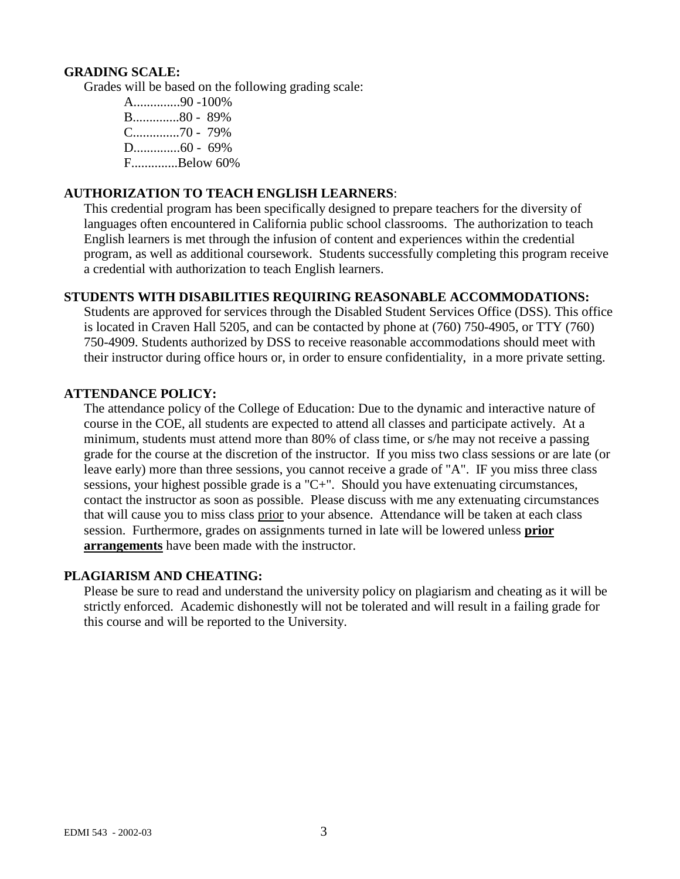#### **GRADING SCALE:**

Grades will be based on the following grading scale:

A..............90 -100% B..............80 - 89% C..............70 - 79% D..............60 - 69% F..............Below 60%

### **AUTHORIZATION TO TEACH ENGLISH LEARNERS**:

This credential program has been specifically designed to prepare teachers for the diversity of languages often encountered in California public school classrooms. The authorization to teach English learners is met through the infusion of content and experiences within the credential program, as well as additional coursework. Students successfully completing this program receive a credential with authorization to teach English learners.

#### **STUDENTS WITH DISABILITIES REQUIRING REASONABLE ACCOMMODATIONS:**

Students are approved for services through the Disabled Student Services Office (DSS). This office is located in Craven Hall 5205, and can be contacted by phone at (760) 750-4905, or TTY (760) 750-4909. Students authorized by DSS to receive reasonable accommodations should meet with their instructor during office hours or, in order to ensure confidentiality, in a more private setting.

#### **ATTENDANCE POLICY:**

The attendance policy of the College of Education: Due to the dynamic and interactive nature of course in the COE, all students are expected to attend all classes and participate actively. At a minimum, students must attend more than 80% of class time, or s/he may not receive a passing grade for the course at the discretion of the instructor. If you miss two class sessions or are late (or leave early) more than three sessions, you cannot receive a grade of "A". IF you miss three class sessions, your highest possible grade is a "C+". Should you have extenuating circumstances, contact the instructor as soon as possible. Please discuss with me any extenuating circumstances that will cause you to miss class prior to your absence. Attendance will be taken at each class session. Furthermore, grades on assignments turned in late will be lowered unless **prior arrangements** have been made with the instructor.

#### **PLAGIARISM AND CHEATING:**

Please be sure to read and understand the university policy on plagiarism and cheating as it will be strictly enforced. Academic dishonestly will not be tolerated and will result in a failing grade for this course and will be reported to the University.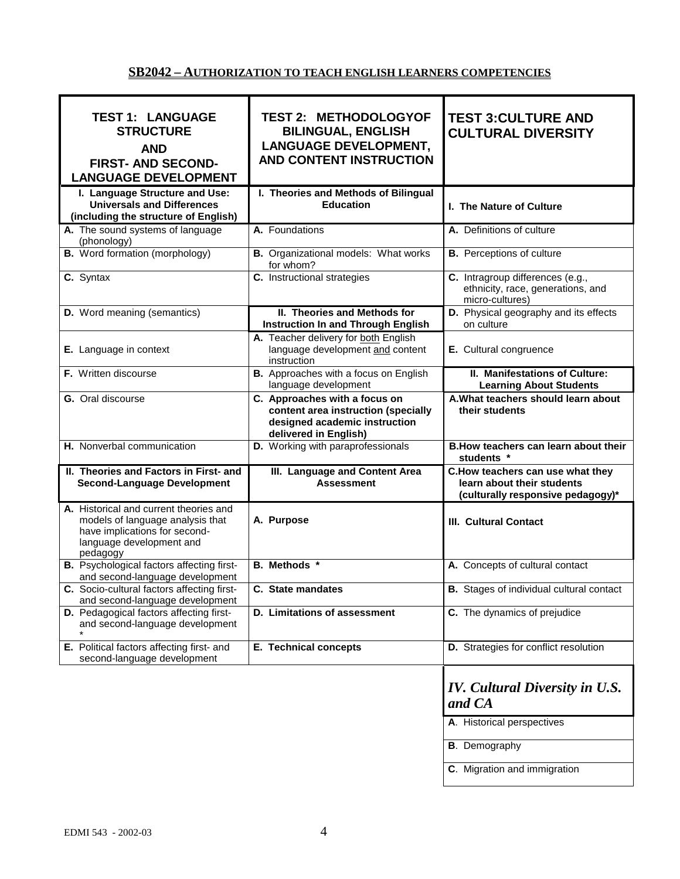## **SB2042 – AUTHORIZATION TO TEACH ENGLISH LEARNERS COMPETENCIES**

| <b>TEST 1: LANGUAGE</b><br><b>STRUCTURE</b><br><b>AND</b><br><b>FIRST- AND SECOND-</b><br><b>LANGUAGE DEVELOPMENT</b>                   | <b>TEST 2: METHODOLOGYOF</b><br><b>BILINGUAL, ENGLISH</b><br><b>LANGUAGE DEVELOPMENT,</b><br><b>AND CONTENT INSTRUCTION</b>    | <b>TEST 3: CULTURE AND</b><br><b>CULTURAL DIVERSITY</b>                                             |
|-----------------------------------------------------------------------------------------------------------------------------------------|--------------------------------------------------------------------------------------------------------------------------------|-----------------------------------------------------------------------------------------------------|
| I. Language Structure and Use:<br><b>Universals and Differences</b><br>(including the structure of English)                             | I. Theories and Methods of Bilingual<br><b>Education</b>                                                                       | I. The Nature of Culture                                                                            |
| A. The sound systems of language<br>(phonology)                                                                                         | A. Foundations                                                                                                                 | A. Definitions of culture                                                                           |
| <b>B.</b> Word formation (morphology)                                                                                                   | <b>B.</b> Organizational models: What works<br>for whom?                                                                       | <b>B.</b> Perceptions of culture                                                                    |
| C. Syntax                                                                                                                               | C. Instructional strategies                                                                                                    | C. Intragroup differences (e.g.,<br>ethnicity, race, generations, and<br>micro-cultures)            |
| <b>D.</b> Word meaning (semantics)                                                                                                      | II. Theories and Methods for<br><b>Instruction In and Through English</b>                                                      | D. Physical geography and its effects<br>on culture                                                 |
| E. Language in context                                                                                                                  | A. Teacher delivery for both English<br>language development and content<br>instruction                                        | E. Cultural congruence                                                                              |
| F. Written discourse                                                                                                                    | B. Approaches with a focus on English<br>language development                                                                  | II. Manifestations of Culture:<br><b>Learning About Students</b>                                    |
| G. Oral discourse                                                                                                                       | C. Approaches with a focus on<br>content area instruction (specially<br>designed academic instruction<br>delivered in English) | A. What teachers should learn about<br>their students                                               |
| H. Nonverbal communication                                                                                                              | D. Working with paraprofessionals                                                                                              | B. How teachers can learn about their                                                               |
|                                                                                                                                         |                                                                                                                                | students *                                                                                          |
| II. Theories and Factors in First- and<br><b>Second-Language Development</b>                                                            | III. Language and Content Area<br><b>Assessment</b>                                                                            | C.How teachers can use what they<br>learn about their students<br>(culturally responsive pedagogy)* |
| A. Historical and current theories and<br>models of language analysis that<br>have implications for second-<br>language development and | A. Purpose                                                                                                                     | <b>III. Cultural Contact</b>                                                                        |
| pedagogy<br><b>B.</b> Psychological factors affecting first-<br>and second-language development                                         | <b>B.</b> Methods *                                                                                                            | A. Concepts of cultural contact                                                                     |
| C. Socio-cultural factors affecting first-<br>and second-language development                                                           | C. State mandates                                                                                                              | <b>B.</b> Stages of individual cultural contact                                                     |
| <b>D.</b> Pedagogical factors affecting first-<br>and second-language development                                                       | D. Limitations of assessment                                                                                                   | C. The dynamics of prejudice                                                                        |
| E. Political factors affecting first- and<br>second-language development                                                                | <b>E. Technical concepts</b>                                                                                                   | D. Strategies for conflict resolution                                                               |
|                                                                                                                                         |                                                                                                                                | <b>IV.</b> Cultural Diversity in U.S.<br>and CA                                                     |
|                                                                                                                                         |                                                                                                                                | A. Historical perspectives                                                                          |
|                                                                                                                                         |                                                                                                                                | <b>B.</b> Demography                                                                                |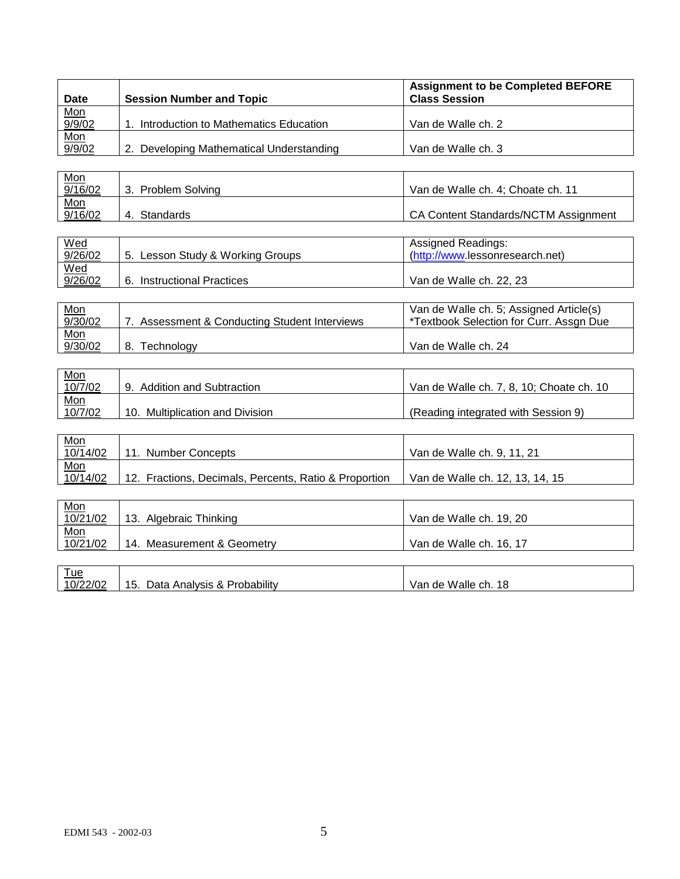| Date                                       | <b>Session Number and Topic</b>          | <b>Assignment to be Completed BEFORE</b><br><b>Class Session</b> |
|--------------------------------------------|------------------------------------------|------------------------------------------------------------------|
|                                            |                                          |                                                                  |
| $\frac{\text{Mon}}{\frac{9/9/02}{9/9/02}}$ | Introduction to Mathematics Education    | Van de Walle ch. 2                                               |
|                                            |                                          |                                                                  |
|                                            | 2. Developing Mathematical Understanding | Van de Walle ch. 3                                               |

| <u>Mon</u> |                    |                                      |
|------------|--------------------|--------------------------------------|
| 9/16/02    | 3. Problem Solving | Van de Walle ch. 4: Choate ch. 11    |
| Mon        |                    |                                      |
| 9/16/02    | Standards<br>4.    | CA Content Standards/NCTM Assignment |

| Wed<br>9/26/02 | 5. Lesson Study & Working Groups     | Assigned Readings:<br>(http://www.lessonresearch.net) |
|----------------|--------------------------------------|-------------------------------------------------------|
| Wed<br>9/26/02 | 6.<br><b>Instructional Practices</b> | Van de Walle ch. 22, 23                               |

| <u>Mon</u> |                                            | Van de Walle ch. 5; Assigned Article(s) |
|------------|--------------------------------------------|-----------------------------------------|
| 9/30/02    | Assessment & Conducting Student Interviews | *Textbook Selection for Curr. Assgn Due |
| Mon        |                                            |                                         |
| 9/30/02    | 8.<br>Technoloav                           | Van de Walle ch. 24                     |

| <u>Mon</u> |                                 |                                          |
|------------|---------------------------------|------------------------------------------|
| 10/7/02    | 9. Addition and Subtraction     | Van de Walle ch. 7, 8, 10; Choate ch. 10 |
| Mon        |                                 |                                          |
| 10/7/02    | 10. Multiplication and Division | (Reading integrated with Session 9)      |

| <u>Mon</u> |                                                       |                                 |
|------------|-------------------------------------------------------|---------------------------------|
| 10/14/02   | <b>Number Concepts</b>                                | Van de Walle ch. 9, 11, 21      |
| Mon        |                                                       |                                 |
| 10/14/02   | 12. Fractions, Decimals, Percents, Ratio & Proportion | Van de Walle ch. 12, 13, 14, 15 |

| $\frac{\text{Mon}}{10/21/02}$ | 13. Algebraic Thinking          | Van de Walle ch. 19, 20 |
|-------------------------------|---------------------------------|-------------------------|
|                               |                                 |                         |
| $\frac{\text{Mon}}{10/21/02}$ | 14. Measurement & Geometry      | Van de Walle ch. 16, 17 |
|                               |                                 |                         |
| <u>Tue</u>                    |                                 |                         |
| 10/22/02                      | 15. Data Analysis & Probability | Van de Walle ch. 18     |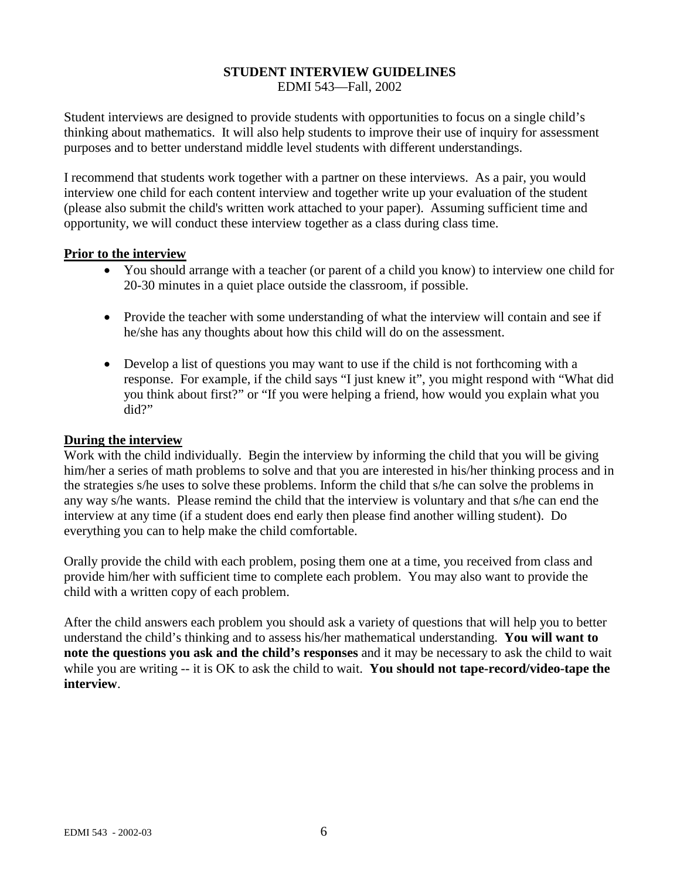#### **STUDENT INTERVIEW GUIDELINES** EDMI 543—Fall, 2002

Student interviews are designed to provide students with opportunities to focus on a single child's thinking about mathematics. It will also help students to improve their use of inquiry for assessment purposes and to better understand middle level students with different understandings.

I recommend that students work together with a partner on these interviews. As a pair, you would interview one child for each content interview and together write up your evaluation of the student (please also submit the child's written work attached to your paper). Assuming sufficient time and opportunity, we will conduct these interview together as a class during class time.

#### **Prior to the interview**

- You should arrange with a teacher (or parent of a child you know) to interview one child for 20-30 minutes in a quiet place outside the classroom, if possible.
- Provide the teacher with some understanding of what the interview will contain and see if he/she has any thoughts about how this child will do on the assessment.
- Develop a list of questions you may want to use if the child is not forthcoming with a response. For example, if the child says "I just knew it", you might respond with "What did you think about first?" or "If you were helping a friend, how would you explain what you did?"

### **During the interview**

Work with the child individually. Begin the interview by informing the child that you will be giving him/her a series of math problems to solve and that you are interested in his/her thinking process and in the strategies s/he uses to solve these problems. Inform the child that s/he can solve the problems in any way s/he wants. Please remind the child that the interview is voluntary and that s/he can end the interview at any time (if a student does end early then please find another willing student). Do everything you can to help make the child comfortable.

Orally provide the child with each problem, posing them one at a time, you received from class and provide him/her with sufficient time to complete each problem. You may also want to provide the child with a written copy of each problem.

After the child answers each problem you should ask a variety of questions that will help you to better understand the child's thinking and to assess his/her mathematical understanding. **You will want to note the questions you ask and the child's responses** and it may be necessary to ask the child to wait while you are writing -- it is OK to ask the child to wait. **You should not tape-record/video-tape the interview**.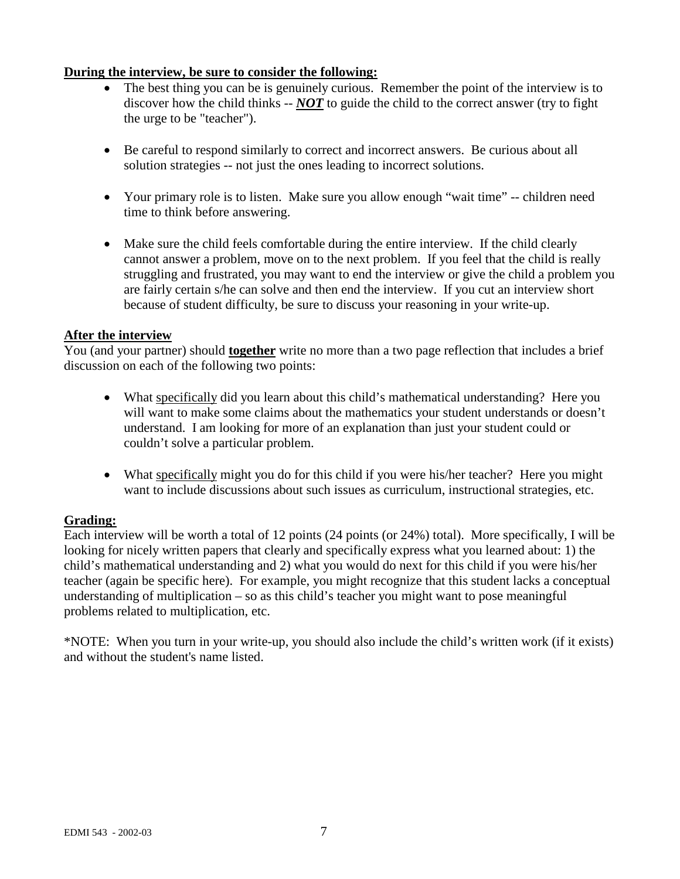## **During the interview, be sure to consider the following:**

- The best thing you can be is genuinely curious. Remember the point of the interview is to discover how the child thinks -- *NOT* to guide the child to the correct answer (try to fight the urge to be "teacher").
- Be careful to respond similarly to correct and incorrect answers. Be curious about all solution strategies -- not just the ones leading to incorrect solutions.
- Your primary role is to listen. Make sure you allow enough "wait time" -- children need time to think before answering.
- Make sure the child feels comfortable during the entire interview. If the child clearly cannot answer a problem, move on to the next problem. If you feel that the child is really struggling and frustrated, you may want to end the interview or give the child a problem you are fairly certain s/he can solve and then end the interview. If you cut an interview short because of student difficulty, be sure to discuss your reasoning in your write-up.

### **After the interview**

You (and your partner) should **together** write no more than a two page reflection that includes a brief discussion on each of the following two points:

- What specifically did you learn about this child's mathematical understanding? Here you will want to make some claims about the mathematics your student understands or doesn't understand. I am looking for more of an explanation than just your student could or couldn't solve a particular problem.
- What specifically might you do for this child if you were his/her teacher? Here you might want to include discussions about such issues as curriculum, instructional strategies, etc.

## **Grading:**

Each interview will be worth a total of 12 points (24 points (or 24%) total). More specifically, I will be looking for nicely written papers that clearly and specifically express what you learned about: 1) the child's mathematical understanding and 2) what you would do next for this child if you were his/her teacher (again be specific here). For example, you might recognize that this student lacks a conceptual understanding of multiplication – so as this child's teacher you might want to pose meaningful problems related to multiplication, etc.

\*NOTE: When you turn in your write-up, you should also include the child's written work (if it exists) and without the student's name listed.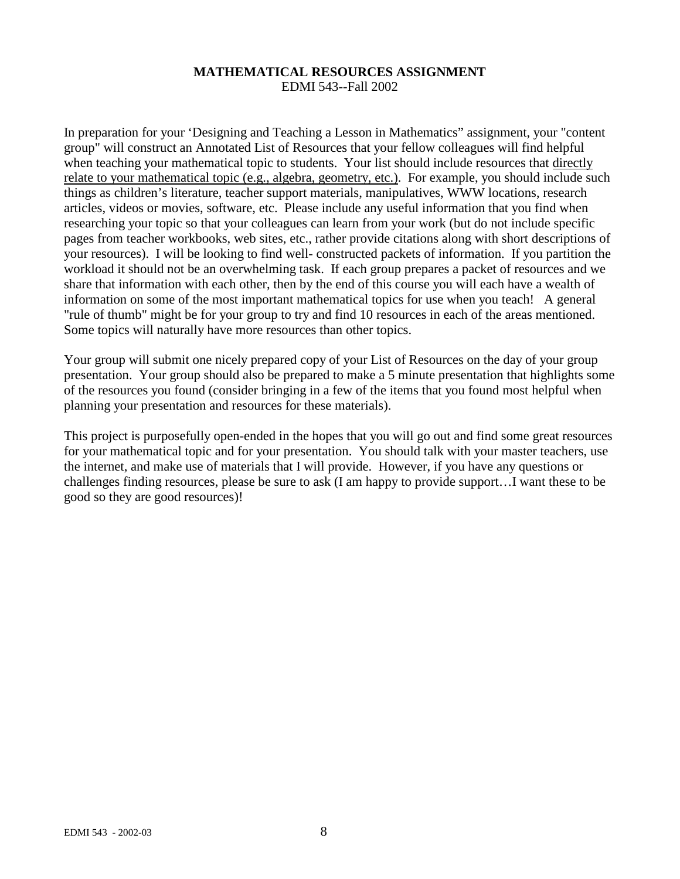#### **MATHEMATICAL RESOURCES ASSIGNMENT** EDMI 543--Fall 2002

In preparation for your 'Designing and Teaching a Lesson in Mathematics" assignment, your "content group" will construct an Annotated List of Resources that your fellow colleagues will find helpful when teaching your mathematical topic to students. Your list should include resources that directly relate to your mathematical topic (e.g., algebra, geometry, etc.). For example, you should include such things as children's literature, teacher support materials, manipulatives, WWW locations, research articles, videos or movies, software, etc. Please include any useful information that you find when researching your topic so that your colleagues can learn from your work (but do not include specific pages from teacher workbooks, web sites, etc., rather provide citations along with short descriptions of your resources). I will be looking to find well- constructed packets of information. If you partition the workload it should not be an overwhelming task. If each group prepares a packet of resources and we share that information with each other, then by the end of this course you will each have a wealth of information on some of the most important mathematical topics for use when you teach! A general "rule of thumb" might be for your group to try and find 10 resources in each of the areas mentioned. Some topics will naturally have more resources than other topics.

Your group will submit one nicely prepared copy of your List of Resources on the day of your group presentation. Your group should also be prepared to make a 5 minute presentation that highlights some of the resources you found (consider bringing in a few of the items that you found most helpful when planning your presentation and resources for these materials).

This project is purposefully open-ended in the hopes that you will go out and find some great resources for your mathematical topic and for your presentation. You should talk with your master teachers, use the internet, and make use of materials that I will provide. However, if you have any questions or challenges finding resources, please be sure to ask (I am happy to provide support…I want these to be good so they are good resources)!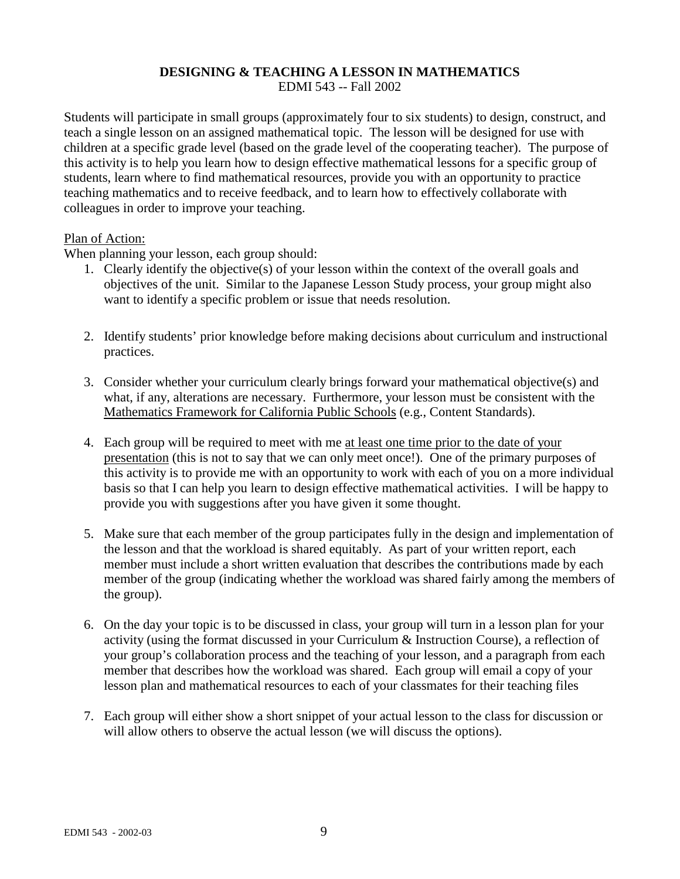#### **DESIGNING & TEACHING A LESSON IN MATHEMATICS** EDMI 543 -- Fall 2002

Students will participate in small groups (approximately four to six students) to design, construct, and teach a single lesson on an assigned mathematical topic. The lesson will be designed for use with children at a specific grade level (based on the grade level of the cooperating teacher). The purpose of this activity is to help you learn how to design effective mathematical lessons for a specific group of students, learn where to find mathematical resources, provide you with an opportunity to practice teaching mathematics and to receive feedback, and to learn how to effectively collaborate with colleagues in order to improve your teaching.

#### Plan of Action:

When planning your lesson, each group should:

- 1. Clearly identify the objective(s) of your lesson within the context of the overall goals and objectives of the unit. Similar to the Japanese Lesson Study process, your group might also want to identify a specific problem or issue that needs resolution.
- 2. Identify students' prior knowledge before making decisions about curriculum and instructional practices.
- 3. Consider whether your curriculum clearly brings forward your mathematical objective(s) and what, if any, alterations are necessary. Furthermore, your lesson must be consistent with the Mathematics Framework for California Public Schools (e.g., Content Standards).
- 4. Each group will be required to meet with me at least one time prior to the date of your presentation (this is not to say that we can only meet once!). One of the primary purposes of this activity is to provide me with an opportunity to work with each of you on a more individual basis so that I can help you learn to design effective mathematical activities. I will be happy to provide you with suggestions after you have given it some thought.
- 5. Make sure that each member of the group participates fully in the design and implementation of the lesson and that the workload is shared equitably. As part of your written report, each member must include a short written evaluation that describes the contributions made by each member of the group (indicating whether the workload was shared fairly among the members of the group).
- 6. On the day your topic is to be discussed in class, your group will turn in a lesson plan for your activity (using the format discussed in your Curriculum & Instruction Course), a reflection of your group's collaboration process and the teaching of your lesson, and a paragraph from each member that describes how the workload was shared. Each group will email a copy of your lesson plan and mathematical resources to each of your classmates for their teaching files
- 7. Each group will either show a short snippet of your actual lesson to the class for discussion or will allow others to observe the actual lesson (we will discuss the options).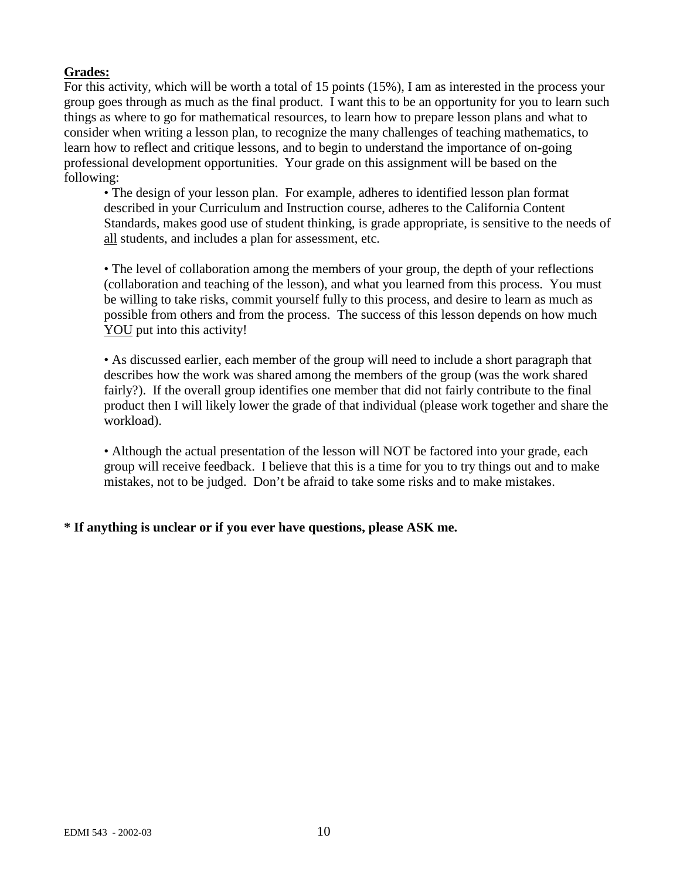# **Grades:**

For this activity, which will be worth a total of 15 points (15%), I am as interested in the process your group goes through as much as the final product. I want this to be an opportunity for you to learn such things as where to go for mathematical resources, to learn how to prepare lesson plans and what to consider when writing a lesson plan, to recognize the many challenges of teaching mathematics, to learn how to reflect and critique lessons, and to begin to understand the importance of on-going professional development opportunities. Your grade on this assignment will be based on the following:

• The design of your lesson plan. For example, adheres to identified lesson plan format described in your Curriculum and Instruction course, adheres to the California Content Standards, makes good use of student thinking, is grade appropriate, is sensitive to the needs of all students, and includes a plan for assessment, etc.

• The level of collaboration among the members of your group, the depth of your reflections (collaboration and teaching of the lesson), and what you learned from this process. You must be willing to take risks, commit yourself fully to this process, and desire to learn as much as possible from others and from the process. The success of this lesson depends on how much YOU put into this activity!

• As discussed earlier, each member of the group will need to include a short paragraph that describes how the work was shared among the members of the group (was the work shared fairly?). If the overall group identifies one member that did not fairly contribute to the final product then I will likely lower the grade of that individual (please work together and share the workload).

• Although the actual presentation of the lesson will NOT be factored into your grade, each group will receive feedback. I believe that this is a time for you to try things out and to make mistakes, not to be judged. Don't be afraid to take some risks and to make mistakes.

# **\* If anything is unclear or if you ever have questions, please ASK me.**